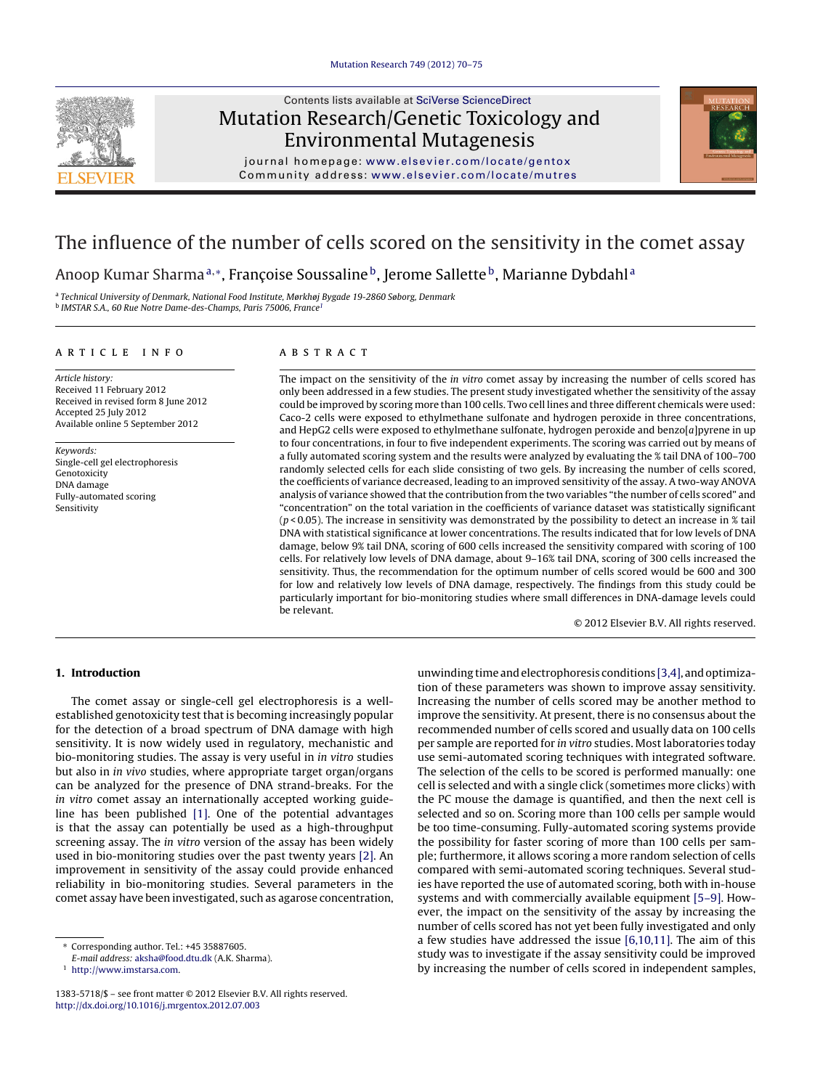

## Contents lists available at SciVerse [ScienceDirect](http://www.sciencedirect.com/science/journal/13835718) Mutation Research/Genetic Toxicology and Environmental Mutagenesis



journal homepage: [www.elsevier.com/locate/gentox](http://www.elsevier.com/locate/gentox) C ommunity a ddress: [www.elsevier.com/locate/mutres](http://www.elsevier.com/locate/mutres)

# The influence of the number of cells scored on the sensitivity in the comet assay

Anoop Kumar Sharma<sup>a,</sup>\*, Françoise Soussaline<sup>b</sup>, Jerome Sallette<sup>b</sup>, Marianne Dybdahl<sup>a</sup>

<sup>a</sup> Technical University of Denmark, National Food Institute, Mørkhøj Bygade 19-2860 Søborg, Denmark **b IMSTAR S.A., 60 Rue Notre Dame-des-Champs, Paris 75006, France1** 

## a r t i c l e i n f o

Article history: Received 11 February 2012 Received in revised form 8 June 2012 Accepted 25 July 2012 Available online 5 September 2012

Keywords: Single-cell gel electrophoresis Genotoxicity DNA damage Fully-automated scoring Sensitivity

## A B S T R A C T

The impact on the sensitivity of the in vitro comet assay by increasing the number of cells scored has only been addressed in a few studies. The present study investigated whether the sensitivity of the assay could be improved by scoring more than 100 cells. Two cell lines and three different chemicals were used: Caco-2 cells were exposed to ethylmethane sulfonate and hydrogen peroxide in three concentrations, and HepG2 cells were exposed to ethylmethane sulfonate, hydrogen peroxide and benzo[a]pyrene in up to four concentrations, in four to five independent experiments. The scoring was carried out by means of a fully automated scoring system and the results were analyzed by evaluating the % tail DNA of 100–700 randomly selected cells for each slide consisting of two gels. By increasing the number of cells scored, the coefficients of variance decreased, leading to an improved sensitivity of the assay. A two-way ANOVA analysis of variance showed that the contribution from the two variables "the number of cells scored" and "concentration" on the total variation in the coefficients of variance dataset was statistically significant  $(p<0.05)$ . The increase in sensitivity was demonstrated by the possibility to detect an increase in % tail DNA with statistical significance at lower concentrations. The results indicated that for low levels of DNA damage, below 9% tail DNA, scoring of 600 cells increased the sensitivity compared with scoring of 100 cells. For relatively low levels of DNA damage, about 9–16% tail DNA, scoring of 300 cells increased the sensitivity. Thus, the recommendation for the optimum number of cells scored would be 600 and 300 for low and relatively low levels of DNA damage, respectively. The findings from this study could be particularly important for bio-monitoring studies where small differences in DNA-damage levels could be relevant.

© 2012 Elsevier B.V. All rights reserved.

## **1. Introduction**

The comet assay or single-cell gel electrophoresis is a wellestablished genotoxicity test that is becoming increasingly popular for the detection of a broad spectrum of DNA damage with high sensitivity. It is now widely used in regulatory, mechanistic and bio-monitoring studies. The assay is very useful in in vitro studies but also in in vivo studies, where appropriate target organ/organs can be analyzed for the presence of DNA strand-breaks. For the in vitro comet assay an internationally accepted working guideline has been published [\[1\].](#page-5-0) One of the potential advantages is that the assay can potentially be used as a high-throughput screening assay. The in vitro version of the assay has been widely used in bio-monitoring studies over the past twenty years [\[2\].](#page-5-0) An improvement in sensitivity of the assay could provide enhanced reliability in bio-monitoring studies. Several parameters in the comet assay have been investigated, such as agarose concentration, unwinding time andelectrophoresis conditions [\[3,4\],](#page-5-0) andoptimization of these parameters was shown to improve assay sensitivity. Increasing the number of cells scored may be another method to improve the sensitivity. At present, there is no consensus about the recommended number of cells scored and usually data on 100 cells per sample are reported for in vitro studies. Most laboratories today use semi-automated scoring techniques with integrated software. The selection of the cells to be scored is performed manually: one cell is selected and with a single click (sometimes more clicks) with the PC mouse the damage is quantified, and then the next cell is selected and so on. Scoring more than 100 cells per sample would be too time-consuming. Fully-automated scoring systems provide the possibility for faster scoring of more than 100 cells per sample; furthermore, it allows scoring a more random selection of cells compared with semi-automated scoring techniques. Several studies have reported the use of automated scoring, both with in-house systems and with commercially available equipment [\[5–9\].](#page-5-0) However, the impact on the sensitivity of the assay by increasing the number of cells scored has not yet been fully investigated and only a few studies have addressed the issue [\[6,10,11\].](#page-5-0) The aim of this study was to investigate if the assay sensitivity could be improved by increasing the number of cells scored in independent samples,

<sup>∗</sup> Corresponding author. Tel.: +45 35887605.

E-mail address: [aksha@food.dtu.dk](mailto:aksha@food.dtu.dk) (A.K. Sharma).

<sup>1</sup> [http://www.imstarsa.com](http://www.imstarsa.com/).

<sup>1383-5718/\$</sup> – see front matter © 2012 Elsevier B.V. All rights reserved. [http://dx.doi.org/10.1016/j.mrgentox.2012.07.003](dx.doi.org/10.1016/j.mrgentox.2012.07.003)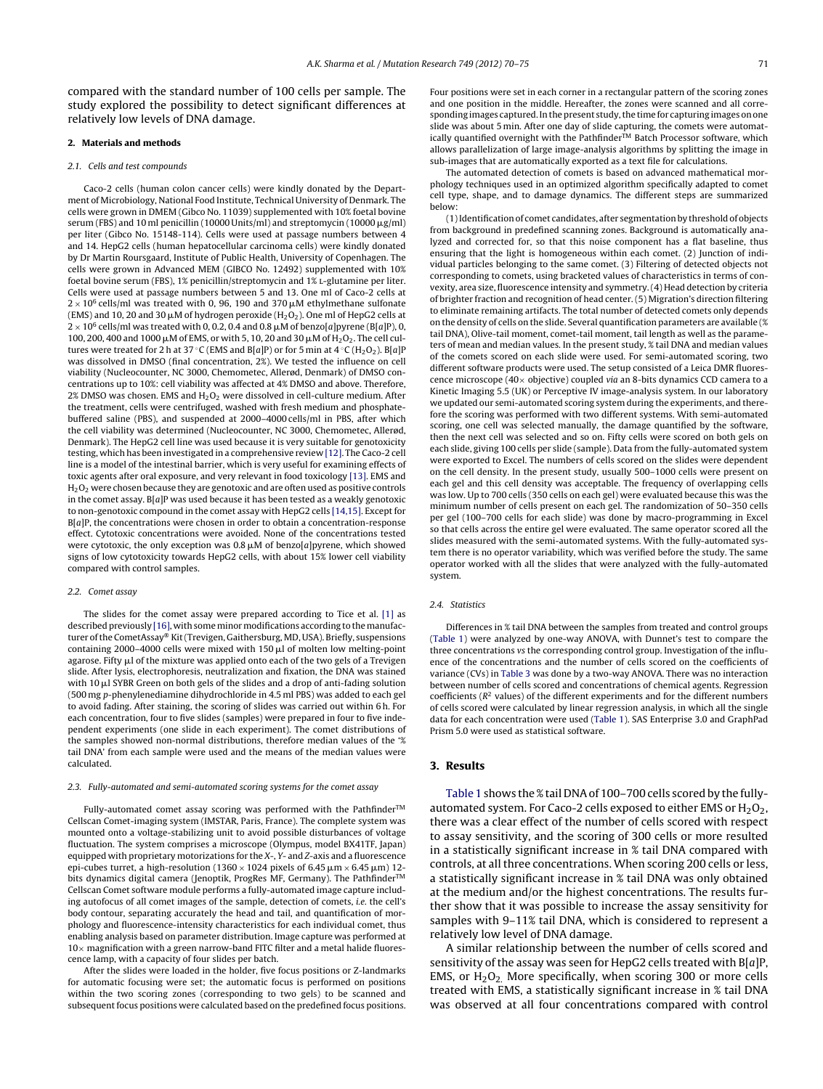compared with the standard number of 100 cells per sample. The study explored the possibility to detect significant differences at relatively low levels of DNA damage.

#### **2. Materials and methods**

#### 2.1. Cells and test compounds

Caco-2 cells (human colon cancer cells) were kindly donated by the Department of Microbiology, National Food Institute, Technical University of Denmark. The cells were grown in DMEM (Gibco No. 11039) supplemented with 10% foetal bovine serum (FBS) and 10 ml penicillin (10000 Units/ml) and streptomycin (10000  $\mu$ g/ml) per liter (Gibco No. 15148-114). Cells were used at passage numbers between 4 and 14. HepG2 cells (human hepatocellular carcinoma cells) were kindly donated by Dr Martin Roursgaard, Institute of Public Health, University of Copenhagen. The cells were grown in Advanced MEM (GIBCO No. 12492) supplemented with 10% foetal bovine serum (FBS), 1% penicillin/streptomycin and 1% L-glutamine per liter. Cells were used at passage numbers between 5 and 13. One ml of Caco-2 cells at  $2 \times 10^6$  cells/ml was treated with 0, 96, 190 and 370  $\mu$ M ethylmethane sulfonate (EMS) and 10, 20 and 30  $\mu$ M of hydrogen peroxide (H $_2$ O $_2$ ). One ml of HepG2 cells at  $2 \times 10^6$  cells/ml was treated with 0, 0.2, 0.4 and 0.8  $\mu$ M of benzo[a]pyrene (B[a]P), 0, 100, 200, 400 and 1000  $\mu$ M of EMS, or with 5, 10, 20 and 30  $\mu$ M of H<sub>2</sub>O<sub>2</sub>. The cell cultures were treated for 2 h at 37 °C (EMS and B[a]P) or for 5 min at 4 °C (H<sub>2</sub>O<sub>2</sub>). B[a]P was dissolved in DMSO (final concentration, 2%). We tested the influence on cell viability (Nucleocounter, NC 3000, Chemometec, Allerød, Denmark) of DMSO concentrations up to 10%: cell viability was affected at 4% DMSO and above. Therefore,  $2\%$  DMSO was chosen. EMS and H<sub>2</sub>O<sub>2</sub> were dissolved in cell-culture medium. After the treatment, cells were centrifuged, washed with fresh medium and phosphatebuffered saline (PBS), and suspended at 2000–4000 cells/ml in PBS, after which the cell viability was determined (Nucleocounter, NC 3000, Chemometec, Allerød, Denmark). The HepG2 cell line was used because it is very suitable for genotoxicity testing, which has been investigated in a comprehensive review [\[12\].](#page-5-0) The Caco-2 cell line is a model of the intestinal barrier, which is very useful for examining effects of toxic agents after oral exposure, and very relevant in food toxicology [\[13\].](#page-5-0) EMS and  $H_2O_2$  were chosen because they are genotoxic and are often used as positive controls in the comet assay.  $B[a]P$  was used because it has been tested as a weakly genotoxic to non-genotoxic compound in the comet assay with HepG2 cells [\[14,15\].](#page-5-0) Except for  $B[a]P$ , the concentrations were chosen in order to obtain a concentration-response effect. Cytotoxic concentrations were avoided. None of the concentrations tested were cytotoxic, the only exception was  $0.8 \mu M$  of benzo[a]pyrene, which showed signs of low cytotoxicity towards HepG2 cells, with about 15% lower cell viability compared with control samples.

#### 2.2. Comet assay

The slides for the comet assay were prepared according to Tice et al. [\[1\]](#page-5-0) as described previously  $[16]$ , with some minor modifications according to the manufacturer ofthe CometAssay® Kit(Trevigen, Gaithersburg, MD, USA). Briefly, suspensions containing 2000–4000 cells were mixed with 150  $\mu$ l of molten low melting-point agarose. Fifty  $\mu$ l of the mixture was applied onto each of the two gels of a Trevigen slide. After lysis, electrophoresis, neutralization and fixation, the DNA was stained with 10  $\mu$ l SYBR Green on both gels of the slides and a drop of anti-fading solution (500 mg p-phenylenediamine dihydrochloride in 4.5 ml PBS) was added to each gel to avoid fading. After staining, the scoring of slides was carried out within 6 h. For each concentration, four to five slides (samples) were prepared in four to five independent experiments (one slide in each experiment). The comet distributions of the samples showed non-normal distributions, therefore median values of the '% tail DNA' from each sample were used and the means of the median values were calculated.

#### 2.3. Fully-automated and semi-automated scoring systems for the comet assay

Fully-automated comet assay scoring was performed with the Pathfinder<sup>™</sup> Cellscan Comet-imaging system (IMSTAR, Paris, France). The complete system was mounted onto a voltage-stabilizing unit to avoid possible disturbances of voltage fluctuation. The system comprises a microscope (Olympus, model BX41TF, Japan) equipped with proprietary motorizations for the X-, Y- and Z-axis and a fluorescence epi-cubes turret, a high-resolution (1360  $\times$  1024 pixels of 6.45  $\mu$ m  $\times$  6.45  $\mu$ m) 12bits dynamics digital camera (Jenoptik, ProgRes MF, Germany). The Pathfinder<sup>™</sup> Cellscan Comet software module performs a fully-automated image capture including autofocus of all comet images of the sample, detection of comets, i.e. the cell's body contour, separating accurately the head and tail, and quantification of morphology and fluorescence-intensity characteristics for each individual comet, thus enabling analysis based on parameter distribution. Image capture was performed at  $10\times$  magnification with a green narrow-band FITC filter and a metal halide fluorescence lamp, with a capacity of four slides per batch.

After the slides were loaded in the holder, five focus positions or Z-landmarks for automatic focusing were set; the automatic focus is performed on positions within the two scoring zones (corresponding to two gels) to be scanned and subsequent focus positions were calculated based on the predefined focus positions.

Four positions were set in each corner in a rectangular pattern of the scoring zones and one position in the middle. Hereafter, the zones were scanned and all corresponding images captured. In the present study, the time for capturing images on one slide was about 5 min. After one day of slide capturing, the comets were automatically quantified overnight with the Pathfinder $\overline{m}$  Batch Processor software, which allows parallelization of large image-analysis algorithms by splitting the image in sub-images that are automatically exported as a text file for calculations.

The automated detection of comets is based on advanced mathematical morphology techniques used in an optimized algorithm specifically adapted to comet cell type, shape, and to damage dynamics. The different steps are summarized below:

(1)Identificationof comet candidates, after segmentationby thresholdof objects from background in predefined scanning zones. Background is automatically analyzed and corrected for, so that this noise component has a flat baseline, thus ensuring that the light is homogeneous within each comet. (2) Junction of individual particles belonging to the same comet. (3) Filtering of detected objects not corresponding to comets, using bracketed values of characteristics in terms of convexity, area size, fluorescence intensity and symmetry.(4) Head detection by criteria of brighter fraction and recognition of head center.(5) Migration's direction filtering to eliminate remaining artifacts. The total number of detected comets only depends on the density of cells on the slide. Several quantification parameters are available (% tail DNA), Olive-tail moment, comet-tail moment, tail length as well as the parameters of mean and median values. In the present study, % tail DNA and median values of the comets scored on each slide were used. For semi-automated scoring, two different software products were used. The setup consisted of a Leica DMR fluorescence microscope (40 $\times$  objective) coupled via an 8-bits dynamics CCD camera to a Kinetic Imaging 5.5 (UK) or Perceptive IV image-analysis system. In our laboratory we updated our semi-automated scoring system during the experiments, and therefore the scoring was performed with two different systems. With semi-automated scoring, one cell was selected manually, the damage quantified by the software, then the next cell was selected and so on. Fifty cells were scored on both gels on each slide, giving 100 cells per slide (sample). Data from the fully-automated system were exported to Excel. The numbers of cells scored on the slides were dependent on the cell density. In the present study, usually 500–1000 cells were present on each gel and this cell density was acceptable. The frequency of overlapping cells was low. Up to 700 cells (350 cells on each gel) were evaluated because this was the minimum number of cells present on each gel. The randomization of 50–350 cells per gel (100–700 cells for each slide) was done by macro-programming in Excel so that cells across the entire gel were evaluated. The same operator scored all the slides measured with the semi-automated systems. With the fully-automated system there is no operator variability, which was verified before the study. The same operator worked with all the slides that were analyzed with the fully-automated system.

#### 2.4. Statistics

Differences in % tail DNA between the samples from treated and control groups ([Table](#page-2-0) 1) were analyzed by one-way ANOVA, with Dunnet's test to compare the three concentrations vs the corresponding control group. Investigation of the influence of the concentrations and the number of cells scored on the coefficients of variance (CVs) in [Table](#page-4-0) 3 was done by a two-way ANOVA. There was no interaction between number of cells scored and concentrations of chemical agents. Regression coefficients ( $R^2$  values) of the different experiments and for the different numbers of cells scored were calculated by linear regression analysis, in which all the single data for each concentration were used ([Table](#page-2-0) 1). SAS Enterprise 3.0 and GraphPad Prism 5.0 were used as statistical software.

## **3. Results**

[Table](#page-2-0) 1 shows the % tail DNAof 100–700 cells scored by the fullyautomated system. For Caco-2 cells exposed to either EMS or  $H_2O_2$ , there was a clear effect of the number of cells scored with respect to assay sensitivity, and the scoring of 300 cells or more resulted in a statistically significant increase in % tail DNA compared with controls, at all three concentrations. When scoring 200 cells or less, a statistically significant increase in % tail DNA was only obtained at the medium and/or the highest concentrations. The results further show that it was possible to increase the assay sensitivity for samples with 9–11% tail DNA, which is considered to represent a relatively low level of DNA damage.

A similar relationship between the number of cells scored and sensitivity of the assay was seen for HepG2 cells treated with  $B[a]P$ , EMS, or  $H_2O_2$ . More specifically, when scoring 300 or more cells treated with EMS, a statistically significant increase in % tail DNA was observed at all four concentrations compared with control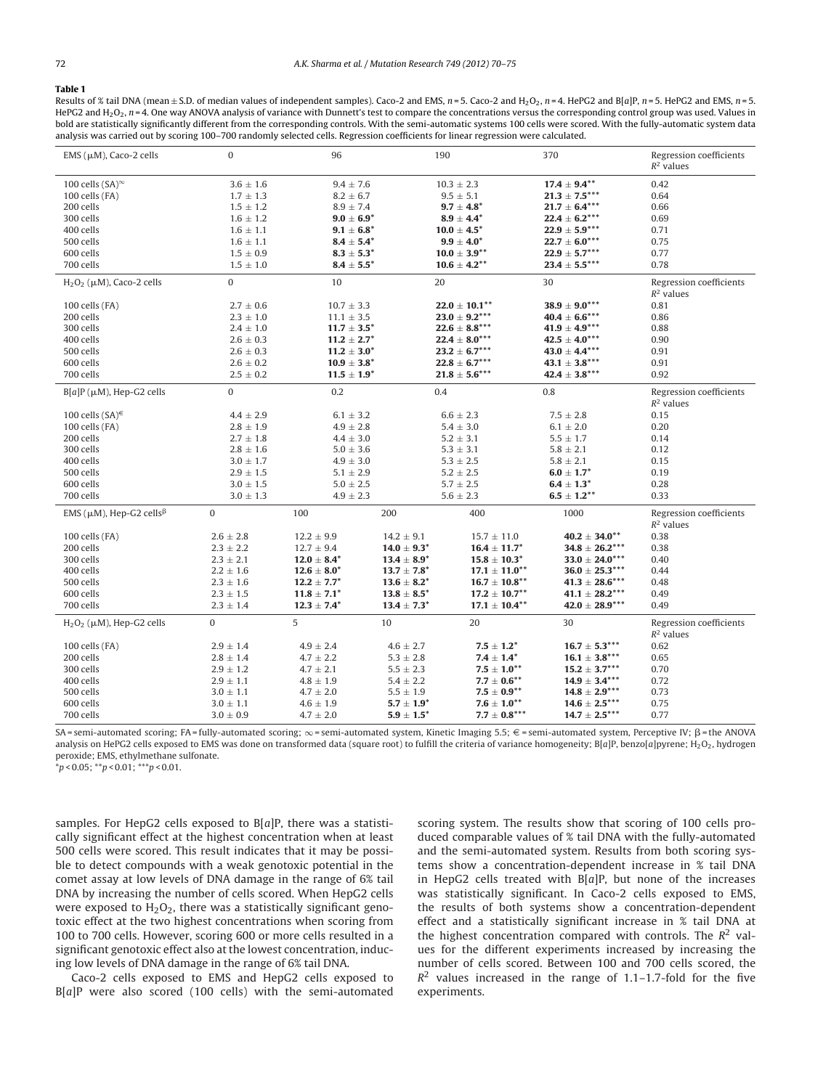## <span id="page-2-0"></span>**Table 1**

Results of % tail DNA (mean ± S.D. of median values of independent samples). Caco-2 and EMS,  $n = 5$ . Caco-2 and H<sub>2</sub>O<sub>2</sub>,  $n = 4$ . HePG2 and B[a]P,  $n = 5$ . HePG2 and EMS,  $n = 5$ . HePG2 and H<sub>2</sub>O<sub>2</sub>,  $n = 4$ . One way ANOVA analysis of variance with Dunnett's test to compare the concentrations versus the corresponding control group was used. Values in bold are statistically significantly different from the corresponding controls. With the semi-automatic systems 100 cells were scored. With the fully-automatic system data analysis was carried out by scoring 100–700 randomly selected cells. Regression coefficients for linear regression were calculated.

| $EMS$ ( $\mu$ M), Caco-2 cells                             | $\mathbf{0}$                   | 96                                 |                                    | 190                             | 370                                      | Regression coefficients<br>$R^2$ values |
|------------------------------------------------------------|--------------------------------|------------------------------------|------------------------------------|---------------------------------|------------------------------------------|-----------------------------------------|
|                                                            |                                |                                    |                                    |                                 |                                          |                                         |
| 100 cells $(SA)^\infty$<br>100 cells (FA)                  | $3.6 \pm 1.6$<br>$1.7 \pm 1.3$ | $9.4 \pm 7.6$<br>$8.2 \pm 6.7$     |                                    | $10.3 \pm 2.3$<br>$9.5 \pm 5.1$ | $17.4 \pm 9.4^{**}$<br>$21.3 \pm 7.5***$ | 0.42<br>0.64                            |
| 200 cells                                                  | $1.5 \pm 1.2$                  | $8.9 \pm 7.4$                      |                                    | $9.7 \pm 4.8^*$                 | $21.7 \pm 6.4***$                        | 0.66                                    |
| 300 cells                                                  | $1.6 \pm 1.2$                  | $9.0 \pm 6.9^*$                    |                                    | $8.9 \pm 4.4^*$                 | $22.4 \pm 6.2***$                        | 0.69                                    |
| 400 cells                                                  | $1.6 \pm 1.1$                  | $9.1 \pm 6.8^*$                    |                                    | $10.0 \pm 4.5^*$                | $22.9 \pm 5.9***$                        | 0.71                                    |
| 500 cells                                                  | $1.6 \pm 1.1$                  | $8.4 \pm 5.4^*$                    |                                    | $9.9 \pm 4.0^*$                 | $22.7 \pm 6.0***$                        | 0.75                                    |
| 600 cells                                                  | $1.5 \pm 0.9$                  | $\textbf{8.3}\pm\textbf{5.3}^{*}$  |                                    | $10.0 \pm 3.9***$               | $22.9 \pm 5.7***$                        | 0.77                                    |
| 700 cells                                                  | $1.5 \pm 1.0$                  | $8.4 \pm 5.5^*$                    |                                    | $10.6 \pm 4.2***$               | $23.4 \pm 5.5***$                        | 0.78                                    |
|                                                            |                                |                                    |                                    |                                 |                                          |                                         |
| $H_2O_2$ ( $\mu$ M), Caco-2 cells                          | $\overline{0}$                 | 10                                 |                                    | 20                              | 30                                       | Regression coefficients<br>$R^2$ values |
| 100 cells (FA)                                             | $2.7 \pm 0.6$                  | $10.7 \pm 3.3$                     |                                    | $22.0 \pm 10.1***$              | $38.9 \pm 9.0^{***}$                     | 0.81                                    |
| 200 cells                                                  | $2.3 \pm 1.0$                  | $11.1 \pm 3.5$                     |                                    | $23.0 \pm 9.2***$               | $40.4 \pm 6.6***$                        | 0.86                                    |
| 300 cells                                                  | $2.4 \pm 1.0$                  | $11.7 \pm 3.5^*$                   |                                    | $22.6 \pm 8.8***$               | $41.9 \pm 4.9***$                        | 0.88                                    |
| 400 cells                                                  | $2.6 \pm 0.3$                  | $11.2 \pm 2.7^*$                   |                                    | $22.4 \pm 8.0***$               | $42.5 \pm 4.0***$                        | 0.90                                    |
| 500 cells                                                  | $2.6 \pm 0.3$                  | $11.2 \pm 3.0^*$                   |                                    | $23.2 \pm 6.7***$               | $43.0 \pm 4.4***$                        | 0.91                                    |
| 600 cells                                                  | $2.6 \pm 0.2$                  | $10.9 \pm 3.8^*$                   |                                    | $22.8 \pm 6.7***$               | $43.1 \pm 3.8***$                        | 0.91                                    |
| 700 cells                                                  | $2.5 \pm 0.2$                  | $\textbf{11.5}\pm\textbf{1.9}^*$   |                                    | $21.8 \pm 5.6***$               | $42.4 \pm 3.8$ ***                       | 0.92                                    |
| $B[a]P(\mu M)$ , Hep-G2 cells                              | $\mathbf{0}$                   | 0.2                                |                                    | 0.4                             | 0.8                                      | Regression coefficients<br>$R^2$ values |
| 100 cells $(SA)^{\infty}$                                  | $4.4 \pm 2.9$                  | $6.1 \pm 3.2$                      |                                    | $6.6 \pm 2.3$                   | $7.5 \pm 2.8$                            | 0.15                                    |
| 100 cells (FA)                                             | $2.8 \pm 1.9$                  | $4.9 \pm 2.8$                      |                                    | $5.4 \pm 3.0$                   | $6.1 \pm 2.0$                            | 0.20                                    |
| 200 cells                                                  | $2.7 \pm 1.8$                  | $4.4 \pm 3.0$                      |                                    | $5.2 \pm 3.1$                   | $5.5 \pm 1.7$                            | 0.14                                    |
| 300 cells                                                  | $2.8 \pm 1.6$                  | $5.0 \pm 3.6$                      |                                    | $5.3 \pm 3.1$                   | $5.8 \pm 2.1$                            | 0.12                                    |
| 400 cells                                                  | $3.0 \pm 1.7$                  | $4.9 \pm 3.0$                      |                                    | $5.3 \pm 2.5$                   | $5.8 \pm 2.1$                            | 0.15                                    |
| 500 cells                                                  | $2.9 \pm 1.5$                  | $5.1 \pm 2.9$                      |                                    | $5.2 \pm 2.5$                   | $6.0 \pm 1.7^*$                          | 0.19                                    |
| 600 cells                                                  | $3.0 \pm 1.5$                  | $5.0 \pm 2.5$                      |                                    | $5.7 \pm 2.5$                   | $6.4 \pm 1.3^*$                          | 0.28                                    |
| 700 cells                                                  | $3.0 \pm 1.3$                  | $4.9 \pm 2.3$                      |                                    | $5.6 \pm 2.3$                   | $6.5 \pm 1.2***$                         | 0.33                                    |
| EMS ( $\mu$ M), Hep-G2 cells <sup><math>\beta</math></sup> | $\mathbf{0}$                   | 100                                | 200                                | 400                             | 1000                                     | Regression coefficients<br>$R^2$ values |
| 100 cells (FA)                                             | $2.6 \pm 2.8$                  | $12.2 \pm 9.9$                     | $14.2 \pm 9.1$                     | $15.7 \pm 11.0$                 | $40.2 \pm 34.0^{**}$                     | 0.38                                    |
| 200 cells                                                  | $2.3 \pm 2.2$                  | $12.7 \pm 9.4$                     | $14.0 \pm 9.3^*$                   | $16.4 \pm 11.7^*$               | $34.8 \pm 26.2***$                       | 0.38                                    |
| 300 cells                                                  | $2.3 \pm 2.1$                  | $\textbf{12.0}\pm\textbf{8.4}^*$   | $\textbf{13.4} \pm \textbf{8.9}^*$ | $15.8 \pm 10.3^*$               | $33.0 \pm 24.0***$                       | 0.40                                    |
| 400 cells                                                  | $2.2 \pm 1.6$                  | $\textbf{12.6} \pm \textbf{8.0}^*$ | $13.7 \pm 7.8^*$                   | $17.1 \pm 11.0***$              | $36.0 \pm 25.3***$                       | 0.44                                    |
| 500 cells                                                  | $2.3 \pm 1.6$                  | $12.2 \pm 7.7^*$                   | $13.6 \pm 8.2^*$                   | $16.7 \pm 10.8***$              | $41.3 \pm 28.6$ ***                      | 0.48                                    |
| 600 cells                                                  | $2.3 \pm 1.5$                  | $11.8 \pm 7.1^*$                   | $13.8 \pm 8.5^*$                   | $17.2 \pm 10.7^{**}$            | $41.1 \pm 28.2***$                       | 0.49                                    |
| 700 cells                                                  | $2.3 \pm 1.4$                  | $12.3 \pm 7.4^*$                   | $13.4 \pm 7.3^*$                   | $17.1 \pm 10.4^{**}$            | $42.0 \pm 28.9$ ***                      | 0.49                                    |
| $H_2O_2$ ( $\mu$ M), Hep-G2 cells                          | $\mathbf{0}$                   | 5                                  | 10                                 | 20                              | 30                                       | Regression coefficients<br>$R^2$ values |
| 100 cells $(FA)$                                           | $2.9 \pm 1.4$                  | $4.9 \pm 2.4$                      | $4.6 \pm 2.7$                      | $7.5 \pm 1.2^*$                 | $16.7 \pm 5.3***$                        | 0.62                                    |
| 200 cells                                                  | $2.8 \pm 1.4$                  | $4.7 \pm 2.2$                      | $5.3 \pm 2.8$                      | $7.4 \pm 1.4^*$                 | $16.1 \pm 3.8***$                        | 0.65                                    |
| 300 cells                                                  | $2.9 \pm 1.2$                  | $4.7 \pm 2.1$                      | $5.5 \pm 2.3$                      | $7.5 \pm 1.0^{**}$              | $15.2 \pm 3.7***$                        | 0.70                                    |
| 400 cells                                                  | $2.9 \pm 1.1$                  | $4.8 \pm 1.9$                      | $5.4 \pm 2.2$                      | $7.7 \pm 0.6***$                | ${\bf 14.9\,\pm\,3.4}^{***}$             | 0.72                                    |
| 500 cells                                                  | $3.0 \pm 1.1$                  | $4.7 \pm 2.0$                      | $5.5 \pm 1.9$                      | $7.5 \pm 0.9***$                | $14.8 \pm 2.9***$                        | 0.73                                    |
| 600 cells                                                  | $3.0 \pm 1.1$                  | $4.6 \pm 1.9$                      | $5.7 \pm 1.9^*$                    | $7.6 \pm 1.0^{**}$              | $14.6 \pm 2.5***$                        | 0.75                                    |
| 700 cells                                                  | $3.0 \pm 0.9$                  | $4.7 \pm 2.0$                      | $5.9 \pm 1.5^*$                    | $7.7 \pm 0.8$ ***               | $14.7 \pm 2.5***$                        | 0.77                                    |

SA= semi-automated scoring; FA= fully-automated scoring;  $\infty$ = semi-automated system, Kinetic Imaging 5.5;  $\in$  = semi-automated system, Perceptive IV;  $\beta$  = the ANOVA analysis on HePG2 cells exposed to EMS was done on transformed data (square root) to fulfill the criteria of variance homogeneity; B[a]P, benzo[a]pyrene; H<sub>2</sub>O<sub>2</sub>, hydrogen peroxide; EMS, ethylmethane sulfonate.

 $*_{p}$  < 0.05;  $*_{p}$  < 0.01;  $*_{p}$  < 0.01.

samples. For HepG2 cells exposed to B[a]P, there was a statistically significant effect at the highest concentration when at least 500 cells were scored. This result indicates that it may be possible to detect compounds with a weak genotoxic potential in the comet assay at low levels of DNA damage in the range of 6% tail DNA by increasing the number of cells scored. When HepG2 cells were exposed to  $H_2O_2$ , there was a statistically significant genotoxic effect at the two highest concentrations when scoring from 100 to 700 cells. However, scoring 600 or more cells resulted in a significant genotoxic effect also at the lowest concentration, inducing low levels of DNA damage in the range of 6% tail DNA.

Caco-2 cells exposed to EMS and HepG2 cells exposed to  $B[a]P$  were also scored (100 cells) with the semi-automated scoring system. The results show that scoring of 100 cells produced comparable values of % tail DNA with the fully-automated and the semi-automated system. Results from both scoring systems show a concentration-dependent increase in % tail DNA in HepG2 cells treated with  $B[a]P$ , but none of the increases was statistically significant. In Caco-2 cells exposed to EMS, the results of both systems show a concentration-dependent effect and a statistically significant increase in % tail DNA at the highest concentration compared with controls. The  $R^2$  values for the different experiments increased by increasing the number of cells scored. Between 100 and 700 cells scored, the  $R<sup>2</sup>$  values increased in the range of 1.1–1.7-fold for the five experiments.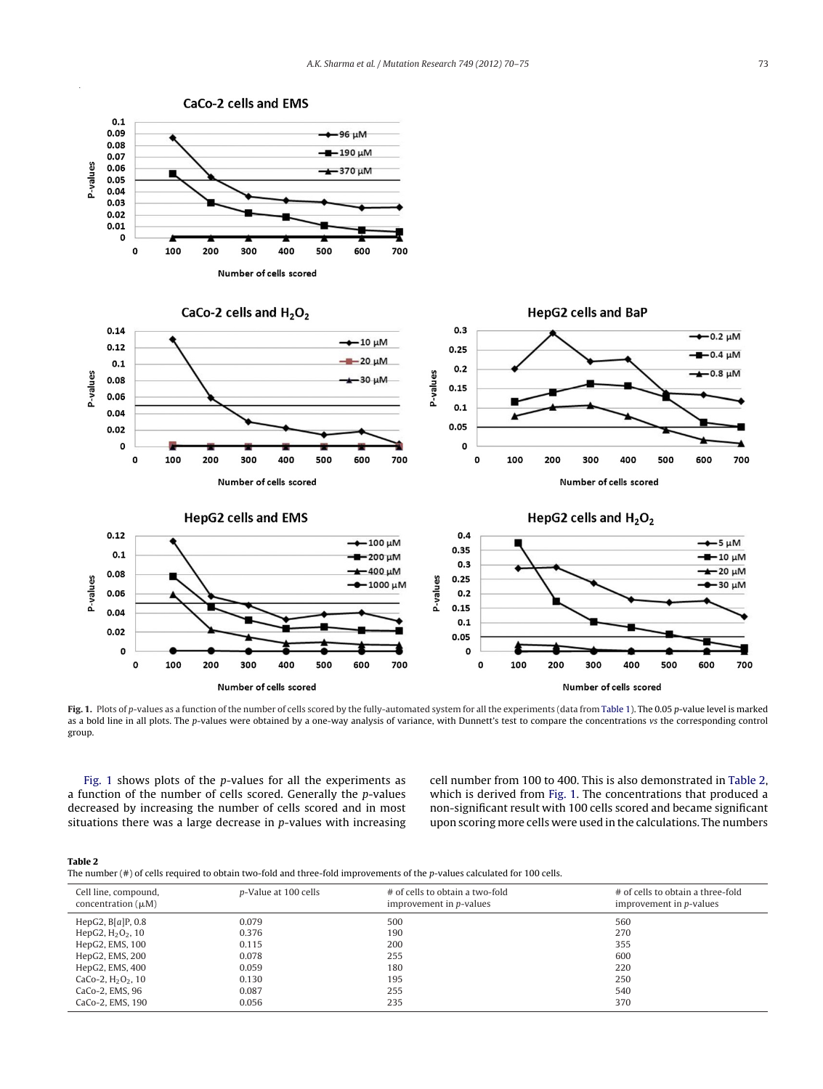<span id="page-3-0"></span>

Fig. 1. Plots of p-values as a function of the number of cells scored by the fully-automated system for all the experiments (data from [Table](#page-2-0) 1). The 0.05 p-value level is marked as a bold line in all plots. The p-values were obtained by a one-way analysis of variance, with Dunnett's test to compare the concentrations vs the corresponding control group.

Fig. 1 shows plots of the p-values for all the experiments as a function of the number of cells scored. Generally the  $p$ -values decreased by increasing the number of cells scored and in most situations there was a large decrease in  $p$ -values with increasing cell number from 100 to 400. This is also demonstrated in Table 2, which is derived from Fig. 1. The concentrations that produced a non-significant result with 100 cells scored and became significant upon scoring more cells were used in the calculations. The numbers

| ı |  |
|---|--|
|   |  |

The number (#) of cells required to obtain two-fold and three-fold improvements of the p-values calculated for 100 cells.

| Cell line, compound,<br>concentration $(\mu M)$ | p-Value at 100 cells | # of cells to obtain a two-fold<br>improvement in <i>p</i> -values | # of cells to obtain a three-fold<br>improvement in <i>p</i> -values |
|-------------------------------------------------|----------------------|--------------------------------------------------------------------|----------------------------------------------------------------------|
| HepG2, $B[a]P, 0.8$                             | 0.079                | 500                                                                | 560                                                                  |
| HepG2, $H_2O_2$ , 10                            | 0.376                | 190                                                                | 270                                                                  |
| HepG2, EMS, 100                                 | 0.115                | 200                                                                | 355                                                                  |
| HepG2, EMS, 200                                 | 0.078                | 255                                                                | 600                                                                  |
| HepG2, EMS, 400                                 | 0.059                | 180                                                                | 220                                                                  |
| CaCo-2, $H_2O_2$ , 10                           | 0.130                | 195                                                                | 250                                                                  |
| CaCo-2, EMS, 96                                 | 0.087                | 255                                                                | 540                                                                  |
| CaCo-2, EMS, 190                                | 0.056                | 235                                                                | 370                                                                  |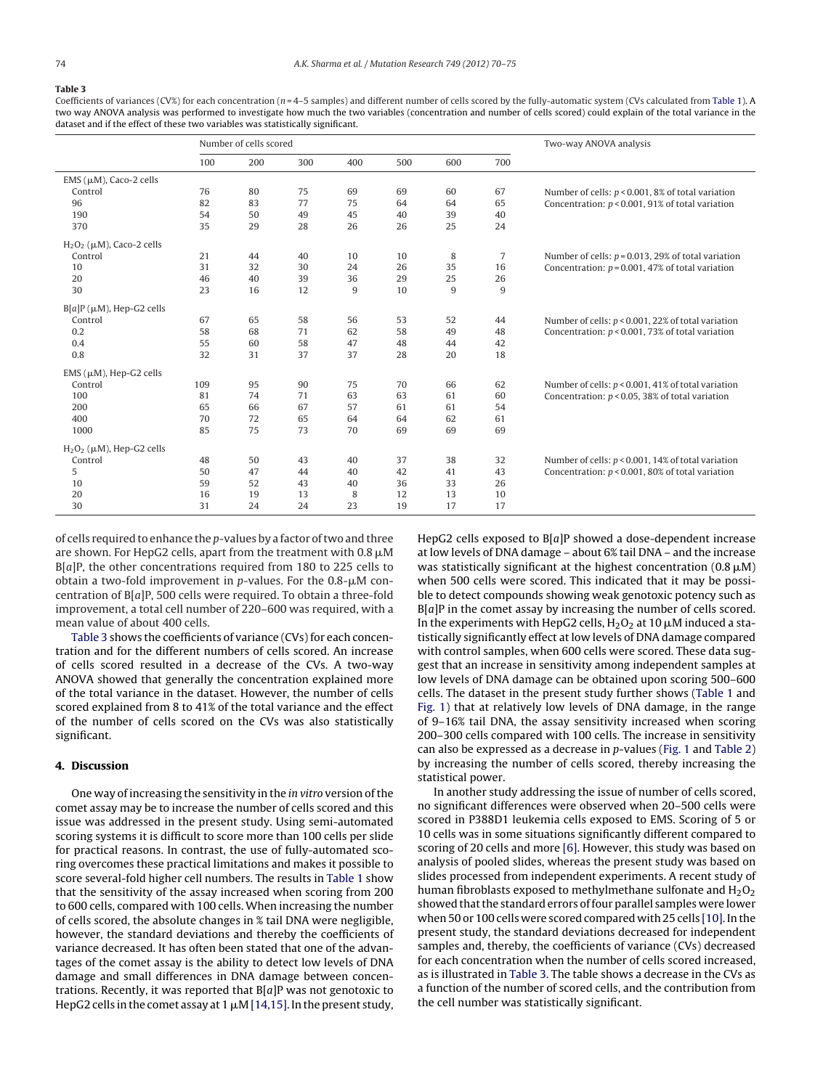## <span id="page-4-0"></span>**Table 3**

Coefficients of variances (CV%) for each concentration ( $n=4-5$  samples) and different number of cells scored by the fully-automatic system (CVs calculated from [Table](#page-2-0) 1). A two way ANOVA analysis was performed to investigate how much the two variables (concentration and number of cells scored) could explain of the total variance in the dataset and if the effect of these two variables was statistically significant.

|                                   | Number of cells scored |     |     |     |     | Two-way ANOVA analysis |     |                                                       |
|-----------------------------------|------------------------|-----|-----|-----|-----|------------------------|-----|-------------------------------------------------------|
|                                   | 100                    | 200 | 300 | 400 | 500 | 600                    | 700 |                                                       |
| EMS $(\mu M)$ , Caco-2 cells      |                        |     |     |     |     |                        |     |                                                       |
| Control                           | 76                     | 80  | 75  | 69  | 69  | 60                     | 67  | Number of cells: $p < 0.001$ , 8% of total variation  |
| 96                                | 82                     | 83  | 77  | 75  | 64  | 64                     | 65  | Concentration: $p < 0.001$ , 91% of total variation   |
| 190                               | 54                     | 50  | 49  | 45  | 40  | 39                     | 40  |                                                       |
| 370                               | 35                     | 29  | 28  | 26  | 26  | 25                     | 24  |                                                       |
| $H_2O_2$ ( $\mu$ M), Caco-2 cells |                        |     |     |     |     |                        |     |                                                       |
| Control                           | 21                     | 44  | 40  | 10  | 10  | 8                      | 7   | Number of cells: $p = 0.013$ , 29% of total variation |
| 10                                | 31                     | 32  | 30  | 24  | 26  | 35                     | 16  | Concentration: $p = 0.001$ , 47% of total variation   |
| 20                                | 46                     | 40  | 39  | 36  | 29  | 25                     | 26  |                                                       |
| 30                                | 23                     | 16  | 12  | 9   | 10  | 9                      | 9   |                                                       |
| $B[a]P(\mu M)$ , Hep-G2 cells     |                        |     |     |     |     |                        |     |                                                       |
| Control                           | 67                     | 65  | 58  | 56  | 53  | 52                     | 44  | Number of cells: $p < 0.001$ , 22% of total variation |
| 0.2                               | 58                     | 68  | 71  | 62  | 58  | 49                     | 48  | Concentration: $p < 0.001$ , 73% of total variation   |
| 0.4                               | 55                     | 60  | 58  | 47  | 48  | 44                     | 42  |                                                       |
| 0.8                               | 32                     | 31  | 37  | 37  | 28  | 20                     | 18  |                                                       |
| $EMS$ ( $\mu$ M), Hep-G2 cells    |                        |     |     |     |     |                        |     |                                                       |
| Control                           | 109                    | 95  | 90  | 75  | 70  | 66                     | 62  | Number of cells: $p < 0.001$ , 41% of total variation |
| 100                               | 81                     | 74  | 71  | 63  | 63  | 61                     | 60  | Concentration: $p < 0.05$ , 38% of total variation    |
| 200                               | 65                     | 66  | 67  | 57  | 61  | 61                     | 54  |                                                       |
| 400                               | 70                     | 72  | 65  | 64  | 64  | 62                     | 61  |                                                       |
| 1000                              | 85                     | 75  | 73  | 70  | 69  | 69                     | 69  |                                                       |
| $H2O2$ ( $\mu$ M), Hep-G2 cells   |                        |     |     |     |     |                        |     |                                                       |
| Control                           | 48                     | 50  | 43  | 40  | 37  | 38                     | 32  | Number of cells: $p < 0.001$ , 14% of total variation |
| 5                                 | 50                     | 47  | 44  | 40  | 42  | 41                     | 43  | Concentration: $p < 0.001$ , 80% of total variation   |
| 10                                | 59                     | 52  | 43  | 40  | 36  | 33                     | 26  |                                                       |
| 20                                | 16                     | 19  | 13  | 8   | 12  | 13                     | 10  |                                                       |
| 30                                | 31                     | 24  | 24  | 23  | 19  | 17                     | 17  |                                                       |

of cells required to enhance the  $p$ -values by a factor of two and three are shown. For HepG2 cells, apart from the treatment with 0.8  $\mu$ M B[a]P, the other concentrations required from 180 to 225 cells to obtain a two-fold improvement in p-values. For the 0.8- $\mu$ M concentration of  $B[a]P$ , 500 cells were required. To obtain a three-fold improvement, a total cell number of 220–600 was required, with a mean value of about 400 cells.

Table 3 shows the coefficients of variance (CVs) for each concentration and for the different numbers of cells scored. An increase of cells scored resulted in a decrease of the CVs. A two-way ANOVA showed that generally the concentration explained more of the total variance in the dataset. However, the number of cells scored explained from 8 to 41% of the total variance and the effect of the number of cells scored on the CVs was also statistically significant.

## **4. Discussion**

One way of increasing the sensitivity in the *in vitro* version of the comet assay may be to increase the number of cells scored and this issue was addressed in the present study. Using semi-automated scoring systems it is difficult to score more than 100 cells per slide for practical reasons. In contrast, the use of fully-automated scoring overcomes these practical limitations and makes it possible to score several-fold higher cell numbers. The results in [Table](#page-2-0) 1 show that the sensitivity of the assay increased when scoring from 200 to 600 cells, compared with 100 cells. When increasing the number of cells scored, the absolute changes in % tail DNA were negligible, however, the standard deviations and thereby the coefficients of variance decreased. It has often been stated that one of the advantages of the comet assay is the ability to detect low levels of DNA damage and small differences in DNA damage between concentrations. Recently, it was reported that  $B[a]P$  was not genotoxic to HepG2 cells in the comet assay at 1  $\mu$ M [14,15]. In the present study,

HepG2 cells exposed to B[a]P showed a dose-dependent increase at low levels of DNA damage – about 6% tail DNA – and the increase was statistically significant at the highest concentration (0.8  $\mu$ M) when 500 cells were scored. This indicated that it may be possible to detect compounds showing weak genotoxic potency such as  $B[a]P$  in the comet assay by increasing the number of cells scored. In the experiments with HepG2 cells,  $\rm H_2O_2$  at 10  $\rm \mu M$  induced a statistically significantly effect at low levels of DNA damage compared with control samples, when 600 cells were scored. These data suggest that an increase in sensitivity among independent samples at low levels of DNA damage can be obtained upon scoring 500–600 cells. The dataset in the present study further shows [\(Table](#page-2-0) 1 and [Fig.](#page-3-0) 1) that at relatively low levels of DNA damage, in the range of 9–16% tail DNA, the assay sensitivity increased when scoring 200–300 cells compared with 100 cells. The increase in sensitivity can also be expressed as a decrease in  $p$ -values [\(Fig.](#page-3-0) 1 and [Table](#page-3-0) 2) by increasing the number of cells scored, thereby increasing the statistical power.

In another study addressing the issue of number of cells scored, no significant differences were observed when 20–500 cells were scored in P388D1 leukemia cells exposed to EMS. Scoring of 5 or 10 cells was in some situations significantly different compared to scoring of 20 cells and more [\[6\].](#page-5-0) However, this study was based on analysis of pooled slides, whereas the present study was based on slides processed from independent experiments. A recent study of human fibroblasts exposed to methylmethane sulfonate and  $H_2O_2$ showed that the standard errors of four parallel samples were lower when 50 or 100 cells were scored compared with 25 cells [10]. In the present study, the standard deviations decreased for independent samples and, thereby, the coefficients of variance (CVs) decreased for each concentration when the number of cells scored increased, as is illustrated in Table 3. The table shows a decrease in the CVs as a function of the number of scored cells, and the contribution from the cell number was statistically significant.